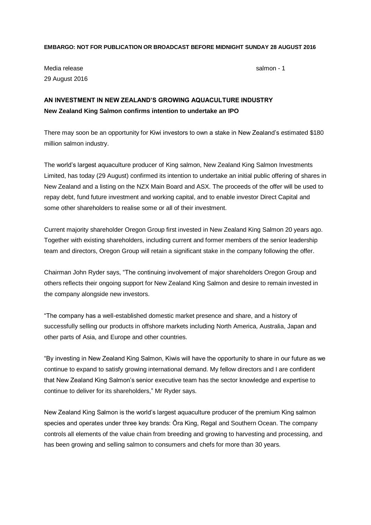## **EMBARGO: NOT FOR PUBLICATION OR BROADCAST BEFORE MIDNIGHT SUNDAY 28 AUGUST 2016**

Media release salmon - 1 29 August 2016

## **AN INVESTMENT IN NEW ZEALAND'S GROWING AQUACULTURE INDUSTRY New Zealand King Salmon confirms intention to undertake an IPO**

There may soon be an opportunity for Kiwi investors to own a stake in New Zealand's estimated \$180 million salmon industry.

The world's largest aquaculture producer of King salmon, New Zealand King Salmon Investments Limited, has today (29 August) confirmed its intention to undertake an initial public offering of shares in New Zealand and a listing on the NZX Main Board and ASX. The proceeds of the offer will be used to repay debt, fund future investment and working capital, and to enable investor Direct Capital and some other shareholders to realise some or all of their investment.

Current majority shareholder Oregon Group first invested in New Zealand King Salmon 20 years ago. Together with existing shareholders, including current and former members of the senior leadership team and directors, Oregon Group will retain a significant stake in the company following the offer.

Chairman John Ryder says, "The continuing involvement of major shareholders Oregon Group and others reflects their ongoing support for New Zealand King Salmon and desire to remain invested in the company alongside new investors.

"The company has a well-established domestic market presence and share, and a history of successfully selling our products in offshore markets including North America, Australia, Japan and other parts of Asia, and Europe and other countries.

"By investing in New Zealand King Salmon, Kiwis will have the opportunity to share in our future as we continue to expand to satisfy growing international demand. My fellow directors and I are confident that New Zealand King Salmon's senior executive team has the sector knowledge and expertise to continue to deliver for its shareholders," Mr Ryder says.

New Zealand King Salmon is the world's largest aquaculture producer of the premium King salmon species and operates under three key brands: Ōra King, Regal and Southern Ocean. The company controls all elements of the value chain from breeding and growing to harvesting and processing, and has been growing and selling salmon to consumers and chefs for more than 30 years.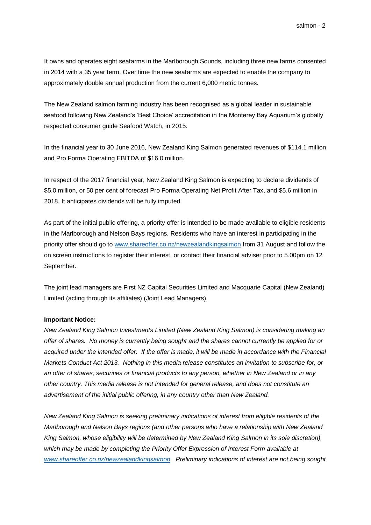It owns and operates eight seafarms in the Marlborough Sounds, including three new farms consented in 2014 with a 35 year term. Over time the new seafarms are expected to enable the company to approximately double annual production from the current 6,000 metric tonnes.

The New Zealand salmon farming industry has been recognised as a global leader in sustainable seafood following New Zealand's 'Best Choice' accreditation in the Monterey Bay Aquarium's globally respected consumer guide Seafood Watch, in 2015.

In the financial year to 30 June 2016, New Zealand King Salmon generated revenues of \$114.1 million and Pro Forma Operating EBITDA of \$16.0 million.

In respect of the 2017 financial year, New Zealand King Salmon is expecting to declare dividends of \$5.0 million, or 50 per cent of forecast Pro Forma Operating Net Profit After Tax, and \$5.6 million in 2018. It anticipates dividends will be fully imputed.

As part of the initial public offering, a priority offer is intended to be made available to eligible residents in the Marlborough and Nelson Bays regions. Residents who have an interest in participating in the priority offer should go t[o www.shareoffer.co.nz/newzealandkingsalmon](http://www.shareoffer.co.nz/newzealandkingsalmon) from 31 August and follow the on screen instructions to register their interest, or contact their financial adviser prior to 5.00pm on 12 September.

The joint lead managers are First NZ Capital Securities Limited and Macquarie Capital (New Zealand) Limited (acting through its affiliates) (Joint Lead Managers).

## **Important Notice:**

*New Zealand King Salmon Investments Limited (New Zealand King Salmon) is considering making an offer of shares. No money is currently being sought and the shares cannot currently be applied for or acquired under the intended offer. If the offer is made, it will be made in accordance with the Financial Markets Conduct Act 2013. Nothing in this media release constitutes an invitation to subscribe for, or an offer of shares, securities or financial products to any person, whether in New Zealand or in any other country. This media release is not intended for general release, and does not constitute an advertisement of the initial public offering, in any country other than New Zealand.*

*New Zealand King Salmon is seeking preliminary indications of interest from eligible residents of the Marlborough and Nelson Bays regions (and other persons who have a relationship with New Zealand King Salmon, whose eligibility will be determined by New Zealand King Salmon in its sole discretion), which may be made by completing the Priority Offer Expression of Interest Form available at [www.shareoffer.co.nz/newzealandkingsalmon.](http://www.shareoffer.co.nz/newzealandkingsalmon) Preliminary indications of interest are not being sought*